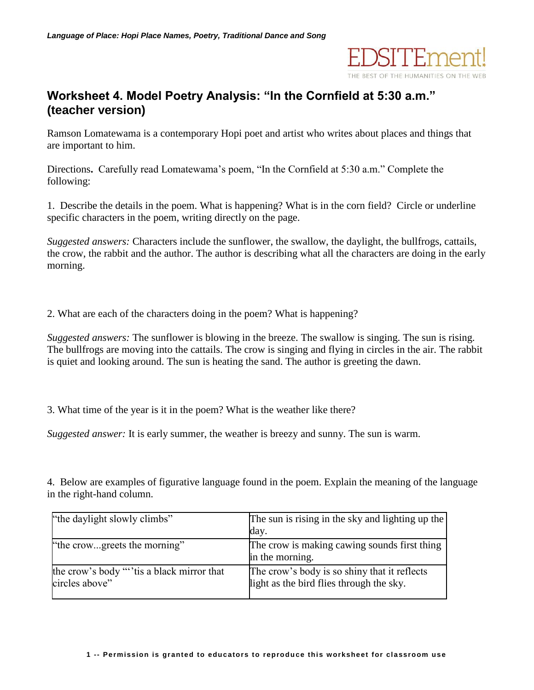

## **Worksheet 4. Model Poetry Analysis: "In the Cornfield at 5:30 a.m." (teacher version)**

Ramson Lomatewama is a contemporary Hopi poet and artist who writes about places and things that are important to him.

Directions**.** Carefully read Lomatewama's poem, "In the Cornfield at 5:30 a.m." Complete the following:

1. Describe the details in the poem. What is happening? What is in the corn field? Circle or underline specific characters in the poem, writing directly on the page.

*Suggested answers:* Characters include the sunflower, the swallow, the daylight, the bullfrogs, cattails, the crow, the rabbit and the author. The author is describing what all the characters are doing in the early morning.

2. What are each of the characters doing in the poem? What is happening?

*Suggested answers:* The sunflower is blowing in the breeze. The swallow is singing. The sun is rising. The bullfrogs are moving into the cattails. The crow is singing and flying in circles in the air. The rabbit is quiet and looking around. The sun is heating the sand. The author is greeting the dawn.

3. What time of the year is it in the poem? What is the weather like there?

*Suggested answer:* It is early summer, the weather is breezy and sunny. The sun is warm.

4. Below are examples of figurative language found in the poem. Explain the meaning of the language in the right-hand column.

| "the daylight slowly climbs"                                | The sun is rising in the sky and lighting up the                                         |
|-------------------------------------------------------------|------------------------------------------------------------------------------------------|
|                                                             | day.                                                                                     |
| "the crowgreets the morning"                                | The crow is making cawing sounds first thing<br>in the morning.                          |
| the crow's body ""tis a black mirror that<br>circles above" | The crow's body is so shiny that it reflects<br>light as the bird flies through the sky. |